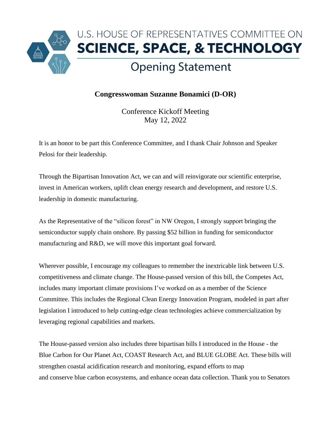

## **Congresswoman Suzanne Bonamici (D-OR)**

Conference Kickoff Meeting May 12, 2022

It is an honor to be part this Conference Committee, and I thank Chair Johnson and Speaker Pelosi for their leadership.

Through the Bipartisan Innovation Act, we can and will reinvigorate our scientific enterprise, invest in American workers, uplift clean energy research and development, and restore U.S. leadership in domestic manufacturing.

As the Representative of the "silicon forest" in NW Oregon, I strongly support bringing the semiconductor supply chain onshore. By passing \$52 billion in funding for semiconductor manufacturing and R&D, we will move this important goal forward.

Wherever possible, I encourage my colleagues to remember the inextricable link between U.S. competitiveness and climate change. The House-passed version of this bill, the Competes Act, includes many important climate provisions I've worked on as a member of the Science Committee. This includes the Regional Clean Energy Innovation Program, modeled in part after legislation I introduced to help cutting-edge clean technologies achieve commercialization by leveraging regional capabilities and markets.

The House-passed version also includes three bipartisan bills I introduced in the House - the Blue Carbon for Our Planet Act, COAST Research Act, and BLUE GLOBE Act. These bills will strengthen coastal acidification research and monitoring, expand efforts to map and conserve blue carbon ecosystems, and enhance ocean data collection. Thank you to Senators